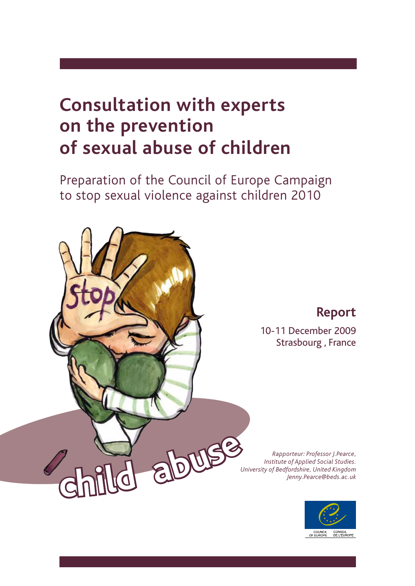# **Consultation with experts on the prevention of sexual abuse of children**

Preparation of the Council of Europe Campaign to stop sexual violence against children 2010



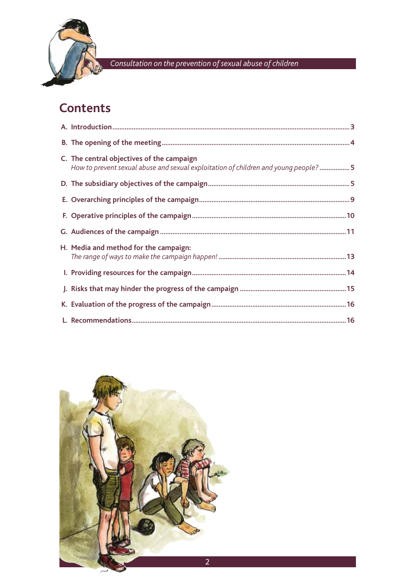

## **Contents**

| C. The central objectives of the campaign<br>How to prevent sexual abuse and sexual exploitation of children and young people?5 |
|---------------------------------------------------------------------------------------------------------------------------------|
|                                                                                                                                 |
|                                                                                                                                 |
|                                                                                                                                 |
|                                                                                                                                 |
| H. Media and method for the campaign:                                                                                           |
|                                                                                                                                 |
|                                                                                                                                 |
|                                                                                                                                 |
|                                                                                                                                 |

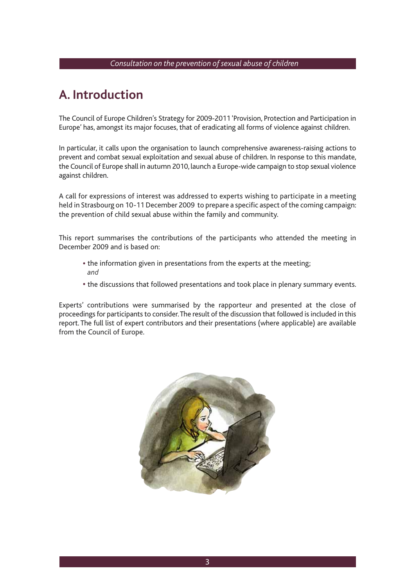### **A. Introduction**

The Council of Europe Children's Strategy for 2009-2011 'Provision, Protection and Participation in Europe' has, amongst its major focuses, that of eradicating all forms of violence against children.

 In particular, it calls upon the organisation to launch comprehensive awareness-raising actions to prevent and combat sexual exploitation and sexual abuse of children. In response to this mandate, the Council of Europe shall in autumn 2010, launch a Europe-wide campaign to stop sexual violence against children.

 A call for expressions of interest was addressed to experts wishing to participate in a meeting held in Strasbourg on 10-11 December 2009 to prepare a specific aspect of the coming campaign: the prevention of child sexual abuse within the family and community.

This report summarises the contributions of the participants who attended the meeting in December 2009 and is based on:

- the information given in presentations from the experts at the meeting; *and*
- the discussions that followed presentations and took place in plenary summary events.

 Experts' contributions were summarised by the rapporteur and presented at the close of proceedings for participants to consider. The result of the discussion that followed is included in this report. The full list of expert contributors and their presentations (where applicable) are available from the Council of Europe.

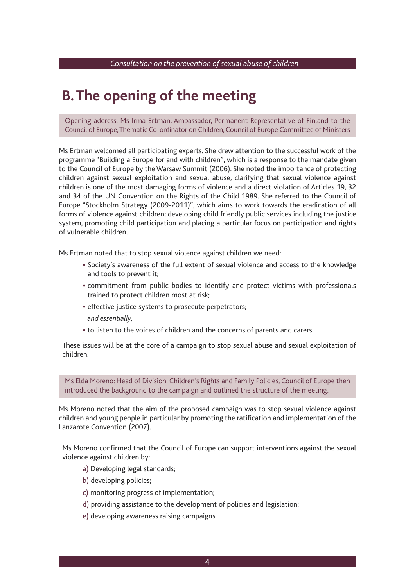## **B. The opening of the meeting**

Opening address: Ms Irma Ertman, Ambassador, Permanent Representative of Finland to the Council of Europe, Thematic Co-ordinator on Children, Council of Europe Committee of Ministers

Ms Ertman welcomed all participating experts. She drew attention to the successful work of the programme "Building a Europe for and with children", which is a response to the mandate given to the Council of Europe by the Warsaw Summit (2006). She noted the importance of protecting children against sexual exploitation and sexual abuse, clarifying that sexual violence against children is one of the most damaging forms of violence and a direct violation of Articles 19, 32 and 34 of the UN Convention on the Rights of the Child 1989. She referred to the Council of Europe "Stockholm Strategy (2009-2011)", which aims to work towards the eradication of all forms of violence against children; developing child friendly public services including the justice system, promoting child participation and placing a particular focus on participation and rights of vulnerable children.

Ms Ertman noted that to stop sexual violence against children we need:

- Society's awareness of the full extent of sexual violence and access to the knowledge and tools to prevent it;
- commitment from public bodies to identify and protect victims with professionals trained to protect children most at risk;
- effective justice systems to prosecute perpetrators;
- *and essentially,*
- to listen to the voices of children and the concerns of parents and carers.

 These issues will be at the core of a campaign to stop sexual abuse and sexual exploitation of children.

 Ms Elda Moreno: Head of Division, Children's Rights and Family Policies, Council of Europe then introduced the background to the campaign and outlined the structure of the meeting.

 Ms Moreno noted that the aim of the proposed campaign was to stop sexual violence against children and young people in particular by promoting the ratification and implementation of the Lanzarote Convention (2007).

 Ms Moreno confirmed that the Council of Europe can support interventions against the sexual violence against children by:

- a) Developing legal standards;
- b) developing policies;
- c) monitoring progress of implementation;
- d) providing assistance to the development of policies and legislation;
- e) developing awareness raising campaigns.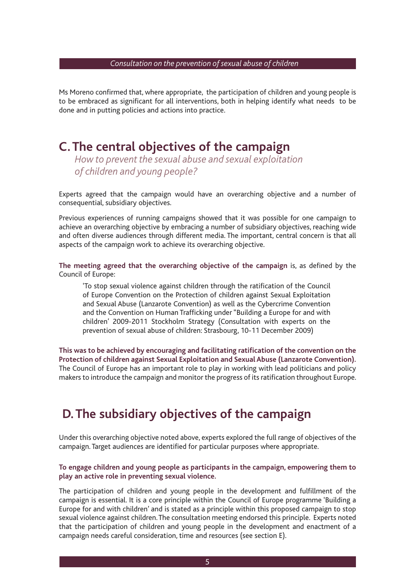Ms Moreno confirmed that, where appropriate, the participation of children and young people is to be embraced as significant for all interventions, both in helping identify what needs to be done and in putting policies and actions into practice.

### **C. The central objectives of the campaign**

*How to prevent the sexual abuse and sexual exploitation of children and young people?*

Experts agreed that the campaign would have an overarching objective and a number of consequential, subsidiary objectives.

 Previous experiences of running campaigns showed that it was possible for one campaign to achieve an overarching objective by embracing a number of subsidiary objectives, reaching wide and often diverse audiences through different media. The important, central concern is that all aspects of the campaign work to achieve its overarching objective.

**The meeting agreed that the overarching objective of the campaign** is, as defined by the Council of Europe:

'To stop sexual violence against children through the ratification of the Council of Europe Convention on the Protection of children against Sexual Exploitation and Sexual Abuse (Lanzarote Convention) as well as the Cybercrime Convention and the Convention on Human Trafficking under "Building a Europe for and with children' 2009-2011 Stockholm Strategy (Consultation with experts on the prevention of sexual abuse of children: Strasbourg, 10-11 December 2009)

 **This was to be achieved by encouraging and facilitating ratification of the convention on the Protection of children against Sexual Exploitation and Sexual Abuse (Lanzarote Convention).** The Council of Europe has an important role to play in working with lead politicians and policy makers to introduce the campaign and monitor the progress of its ratification throughout Europe.

### **D. The subsidiary objectives of the campaign**

 Under this overarching objective noted above, experts explored the full range of objectives of the campaign. Target audiences are identified for particular purposes where appropriate.

#### **To engage children and young people as participants in the campaign, empowering them to play an active role in preventing sexual violence.**

 The participation of children and young people in the development and fulfillment of the campaign is essential. It is a core principle within the Council of Europe programme 'Building a Europe for and with children' and is stated as a principle within this proposed campaign to stop sexual violence against children. The consultation meeting endorsed this principle. Experts noted that the participation of children and young people in the development and enactment of a campaign needs careful consideration, time and resources (see section E).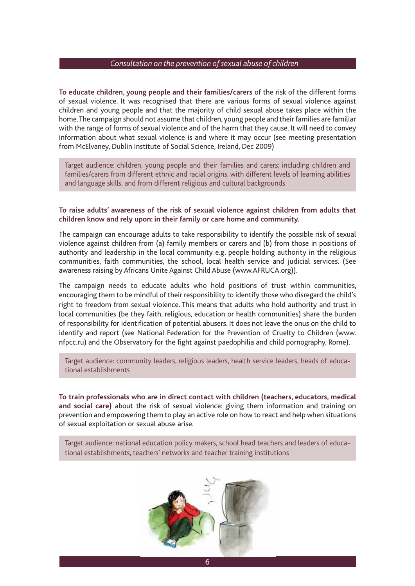**To educate children, young people and their families/carers** of the risk of the different forms of sexual violence. It was recognised that there are various forms of sexual violence against children and young people and that the majority of child sexual abuse takes place within the home. The campaign should not assume that children, young people and their families are familiar with the range of forms of sexual violence and of the harm that they cause. It will need to convey information about what sexual violence is and where it may occur (see meeting presentation from McElvaney, Dublin Institute of Social Science, Ireland, Dec 2009)

 Target audience: children, young people and their families and carers; including children and families/carers from different ethnic and racial origins, with different levels of learning abilities and language skills, and from different religious and cultural backgrounds

#### **To raise adults' awareness of the risk of sexual violence against children from adults that children know and rely upon: in their family or care home and community.**

 The campaign can encourage adults to take responsibility to identify the possible risk of sexual violence against children from (a) family members or carers and (b) from those in positions of authority and leadership in the local community e.g. people holding authority in the religious communities, faith communities, the school, local health service and judicial services. (See awareness raising by Africans Unite Against Child Abuse (www.AFRUCA.org)).

 The campaign needs to educate adults who hold positions of trust within communities, encouraging them to be mindful of their responsibility to identify those who disregard the child's right to freedom from sexual violence. This means that adults who hold authority and trust in local communities (be they faith, religious, education or health communities) share the burden of responsibility for identification of potential abusers. It does not leave the onus on the child to identify and report (see National Federation for the Prevention of Cruelty to Children (www. nfpcc.ru) and the Observatory for the fight against paedophilia and child pornography, Rome).

 Target audience: community leaders, religious leaders, health service leaders, heads of educational establishments

**To train professionals who are in direct contact with children (teachers, educators, medical and social care)** about the risk of sexual violence: giving them information and training on prevention and empowering them to play an active role on how to react and help when situations of sexual exploitation or sexual abuse arise.

 Target audience: national education policy makers, school head teachers and leaders of educational establishments, teachers' networks and teacher training institutions

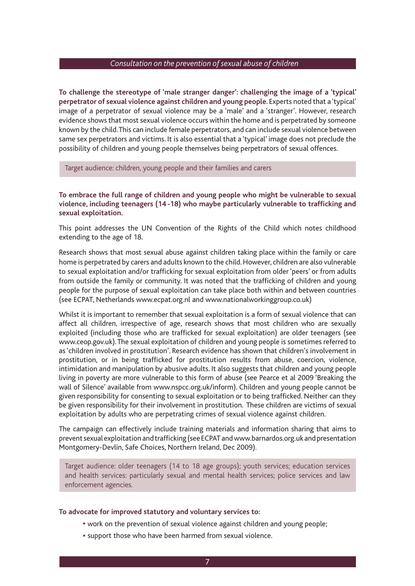**To challenge the stereotype of 'male stranger danger': challenging the image of a 'typical' perpetrator of sexual violence against children and young people.** Experts noted that a 'typical' image of a perpetrator of sexual violence may be a 'male' and a 'stranger'. However, research evidence shows that most sexual violence occurs within the home and is perpetrated by someone known by the child. This can include female perpetrators, and can include sexual violence between same sex perpetrators and victims. It is also essential that a 'typical' image does not preclude the possibility of children and young people themselves being perpetrators of sexual offences.

Target audience: children, young people and their families and carers

**To embrace the full range of children and young people who might be vulnerable to sexual violence, including teenagers (14 -18) who maybe particularly vulnerable to trafficking and sexual exploitation.** 

 This point addresses the UN Convention of the Rights of the Child which notes childhood extending to the age of 18.

 Research shows that most sexual abuse against children taking place within the family or care home is perpetrated by carers and adults known to the child. However, children are also vulnerable to sexual exploitation and/or trafficking for sexual exploitation from older 'peers' or from adults from outside the family or community. It was noted that the trafficking of children and young people for the purpose of sexual exploitation can take place both within and between countries (see ECPAT, Netherlands www.ecpat.org.nl and www.nationalworkinggroup.co.uk)

 Whilst it is important to remember that sexual exploitation is a form of sexual violence that can affect all children, irrespective of age, research shows that most children who are sexually exploited (including those who are trafficked for sexual exploitation) are older teenagers (see www.ceop.gov.uk). The sexual exploitation of children and young people is sometimes referred to as 'children involved in prostitution'. Research evidence has shown that children's involvement in prostitution, or in being trafficked for prostitution results from abuse, coercion, violence, intimidation and manipulation by abusive adults. It also suggests that children and young people living in poverty are more vulnerable to this form of abuse (see Pearce et al 2009 'Breaking the wall of Silence' available from www.nspcc.org.uk/inform). Children and young people cannot be given responsibility for consenting to sexual exploitation or to being trafficked. Neither can they be given responsibility for their involvement in prostitution. These children are victims of sexual exploitation by adults who are perpetrating crimes of sexual violence against children.

 The campaign can effectively include training materials and information sharing that aims to prevent sexual exploitation and trafficking (see ECPAT and www.barnardos.org.uk and presentation Montgomery-Devlin, Safe Choices, Northern Ireland, Dec 2009).

 Target audience: older teenagers (14 to 18 age groups); youth services; education services and health services: particularly sexual and mental health services; police services and law enforcement agencies.

#### **To advocate for improved statutory and voluntary services to:**

- work on the prevention of sexual violence against children and young people;
- support those who have been harmed from sexual violence.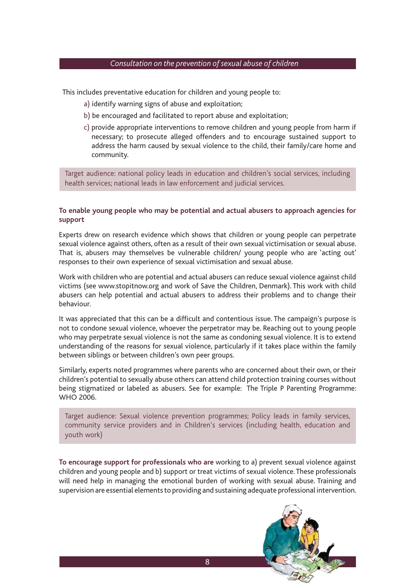This includes preventative education for children and young people to:

- a) identify warning signs of abuse and exploitation;
- b) be encouraged and facilitated to report abuse and exploitation;
- c) provide appropriate interventions to remove children and young people from harm if necessary; to prosecute alleged offenders and to encourage sustained support to address the harm caused by sexual violence to the child, their family/care home and community.

 Target audience: national policy leads in education and children's social services, including health services; national leads in law enforcement and judicial services.

#### **To enable young people who may be potential and actual abusers to approach agencies for support**

 Experts drew on research evidence which shows that children or young people can perpetrate sexual violence against others, often as a result of their own sexual victimisation or sexual abuse. That is, abusers may themselves be vulnerable children/ young people who are 'acting out' responses to their own experience of sexual victimisation and sexual abuse.

 Work with children who are potential and actual abusers can reduce sexual violence against child victims (see www.stopitnow.org and work of Save the Children, Denmark). This work with child abusers can help potential and actual abusers to address their problems and to change their behaviour.

 It was appreciated that this can be a difficult and contentious issue. The campaign's purpose is not to condone sexual violence, whoever the perpetrator may be. Reaching out to young people who may perpetrate sexual violence is not the same as condoning sexual violence. It is to extend understanding of the reasons for sexual violence, particularly if it takes place within the family between siblings or between children's own peer groups.

 Similarly, experts noted programmes where parents who are concerned about their own, or their children's potential to sexually abuse others can attend child protection training courses without being stigmatized or labeled as abusers. See for example: The Triple P Parenting Programme: WHO 2006.

 Target audience: Sexual violence prevention programmes; Policy leads in family services, community service providers and in Children's services (including health, education and youth work)

**To encourage support for professionals who are** working to a) prevent sexual violence against children and young people and b) support or treat victims of sexual violence. These professionals will need help in managing the emotional burden of working with sexual abuse. Training and supervision are essential elements to providing and sustaining adequate professional intervention.

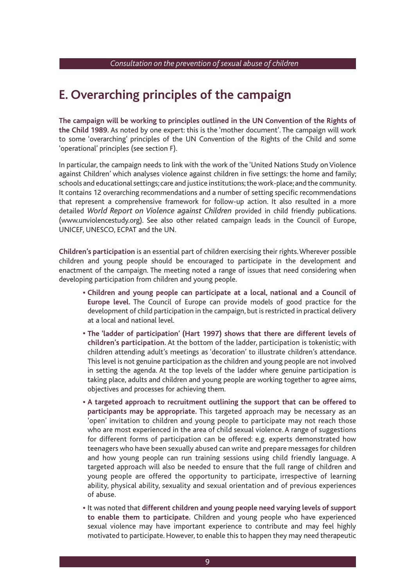### **E. Overarching principles of the campaign**

**The campaign will be working to principles outlined in the UN Convention of the Rights of the Child 1989.** As noted by one expert: this is the 'mother document'. The campaign will work to some 'overarching' principles of the UN Convention of the Rights of the Child and some 'operational' principles (see section F).

 In particular, the campaign needs to link with the work of the 'United Nations Study on Violence against Children' which analyses violence against children in five settings: the home and family; schools and educational settings; care and justice institutions; the work-place; and the community. It contains 12 overarching recommendations and a number of setting specific recommendations that represent a comprehensive framework for follow-up action. It also resulted in a more detailed *World Report on Violence against Children* provided in child friendly publications. (www.unviolencestudy.org). See also other related campaign leads in the Council of Europe, UNICEF, UNESCO, ECPAT and the UN.

**Children's participation** is an essential part of children exercising their rights. Wherever possible children and young people should be encouraged to participate in the development and enactment of the campaign. The meeting noted a range of issues that need considering when developing participation from children and young people.

- **Children and young people can participate at a local, national and a Council of Europe level.** The Council of Europe can provide models of good practice for the development of child participation in the campaign, but is restricted in practical delivery at a local and national level.
- **The 'ladder of participation' (Hart 1997) shows that there are different levels of children's participation.** At the bottom of the ladder, participation is tokenistic; with children attending adult's meetings as 'decoration' to illustrate children's attendance. This level is not genuine participation as the children and young people are not involved in setting the agenda. At the top levels of the ladder where genuine participation is taking place, adults and children and young people are working together to agree aims, objectives and processes for achieving them.
- **A targeted approach to recruitment outlining the support that can be offered to participants may be appropriate.** This targeted approach may be necessary as an 'open' invitation to children and young people to participate may not reach those who are most experienced in the area of child sexual violence. A range of suggestions for different forms of participation can be offered: e.g. experts demonstrated how teenagers who have been sexually abused can write and prepare messages for children and how young people can run training sessions using child friendly language. A targeted approach will also be needed to ensure that the full range of children and young people are offered the opportunity to participate, irrespective of learning ability, physical ability, sexuality and sexual orientation and of previous experiences of abuse.
- It was noted that **different children and young people need varying levels of support to enable them to participate.** Children and young people who have experienced sexual violence may have important experience to contribute and may feel highly motivated to participate. However, to enable this to happen they may need therapeutic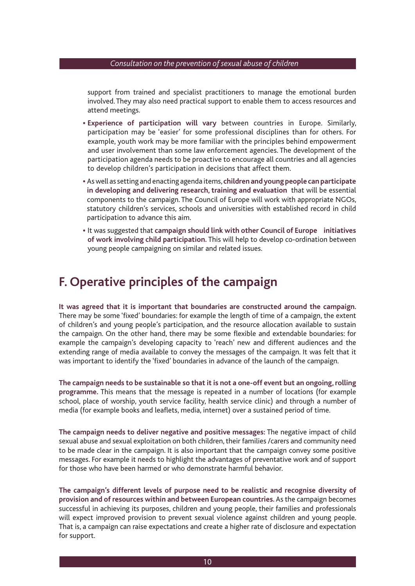support from trained and specialist practitioners to manage the emotional burden involved. They may also need practical support to enable them to access resources and attend meetings.

- **Experience of participation will vary** between countries in Europe. Similarly, participation may be 'easier' for some professional disciplines than for others. For example, youth work may be more familiar with the principles behind empowerment and user involvement than some law enforcement agencies. The development of the participation agenda needs to be proactive to encourage all countries and all agencies to develop children's participation in decisions that affect them.
- As well as setting and enacting agenda items, **children and young people can participate in developing and delivering research, training and evaluation** that will be essential components to the campaign. The Council of Europe will work with appropriate NGOs, statutory children's services, schools and universities with established record in child participation to advance this aim.
- It was suggested that **campaign should link with other Council of Europe initiatives of work involving child participation.** This will help to develop co-ordination between young people campaigning on similar and related issues.

### **F. Operative principles of the campaign**

**It was agreed that it is important that boundaries are constructed around the campaign.**  There may be some 'fixed' boundaries: for example the length of time of a campaign, the extent of children's and young people's participation, and the resource allocation available to sustain the campaign. On the other hand, there may be some flexible and extendable boundaries: for example the campaign's developing capacity to 'reach' new and different audiences and the extending range of media available to convey the messages of the campaign. It was felt that it was important to identify the 'fixed' boundaries in advance of the launch of the campaign.

**The campaign needs to be sustainable so that it is not a one-off event but an ongoing, rolling programme.** This means that the message is repeated in a number of locations (for example school, place of worship, youth service facility, health service clinic) and through a number of media (for example books and leaflets, media, internet) over a sustained period of time.

**The campaign needs to deliver negative and positive messages:** The negative impact of child sexual abuse and sexual exploitation on both children, their families /carers and community need to be made clear in the campaign. It is also important that the campaign convey some positive messages. For example it needs to highlight the advantages of preventative work and of support for those who have been harmed or who demonstrate harmful behavior.

**The campaign's different levels of purpose need to be realistic and recognise diversity of provision and of resources within and between European countries.** As the campaign becomes successful in achieving its purposes, children and young people, their families and professionals will expect improved provision to prevent sexual violence against children and young people. That is, a campaign can raise expectations and create a higher rate of disclosure and expectation for support.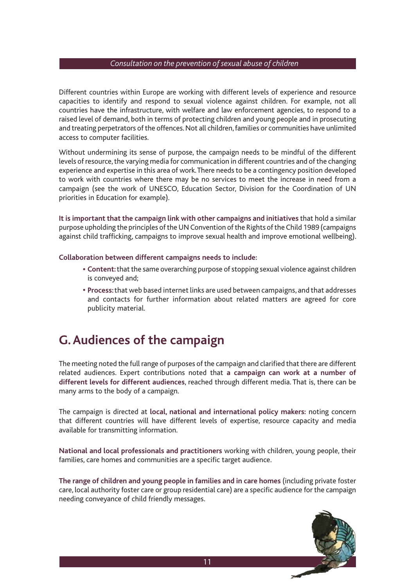Different countries within Europe are working with different levels of experience and resource capacities to identify and respond to sexual violence against children. For example, not all countries have the infrastructure, with welfare and law enforcement agencies, to respond to a raised level of demand, both in terms of protecting children and young people and in prosecuting and treating perpetrators of the offences. Not all children, families or communities have unlimited access to computer facilities.

 Without undermining its sense of purpose, the campaign needs to be mindful of the different levels of resource, the varying media for communication in different countries and of the changing experience and expertise in this area of work. There needs to be a contingency position developed to work with countries where there may be no services to meet the increase in need from a campaign (see the work of UNESCO, Education Sector, Division for the Coordination of UN priorities in Education for example).

**It is important that the campaign link with other campaigns and initiatives** that hold a similar purpose upholding the principles of the UN Convention of the Rights of the Child 1989 (campaigns against child trafficking, campaigns to improve sexual health and improve emotional wellbeing).

**Collaboration between different campaigns needs to include:** 

- **Content:** that the same overarching purpose of stopping sexual violence against children is conveyed and;
- **Process:** that web based internet links are used between campaigns, and that addresses and contacts for further information about related matters are agreed for core publicity material.

### **G. Audiences of the campaign**

The meeting noted the full range of purposes of the campaign and clarified that there are different related audiences. Expert contributions noted that **a campaign can work at a number of different levels for different audiences**, reached through different media. That is, there can be many arms to the body of a campaign.

 The campaign is directed at **local, national and international policy makers:** noting concern that different countries will have different levels of expertise, resource capacity and media available for transmitting information.

 **National and local professionals and practitioners** working with children, young people, their families, care homes and communities are a specific target audience.

 **The range of children and young people in families and in care homes** (including private foster care, local authority foster care or group residential care) are a specific audience for the campaign needing conveyance of child friendly messages.

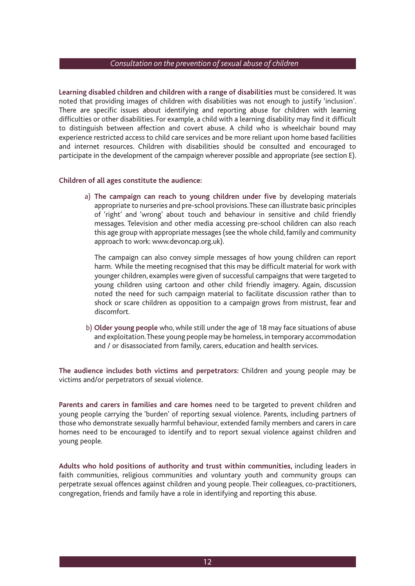**Learning disabled children and children with a range of disabilities** must be considered. It was noted that providing images of children with disabilities was not enough to justify 'inclusion'. There are specific issues about identifying and reporting abuse for children with learning difficulties or other disabilities. For example, a child with a learning disability may find it difficult to distinguish between affection and covert abuse. A child who is wheelchair bound may experience restricted access to child care services and be more reliant upon home based facilities and internet resources. Children with disabilities should be consulted and encouraged to participate in the development of the campaign wherever possible and appropriate (see section E).

#### **Children of all ages constitute the audience:**

a) **The campaign can reach to young children under five** by developing materials appropriate to nurseries and pre-school provisions. These can illustrate basic principles of 'right' and 'wrong' about touch and behaviour in sensitive and child friendly messages. Television and other media accessing pre-school children can also reach this age group with appropriate messages (see the whole child, family and community approach to work: www.devoncap.org.uk).

The campaign can also convey simple messages of how young children can report harm. While the meeting recognised that this may be difficult material for work with younger children, examples were given of successful campaigns that were targeted to young children using cartoon and other child friendly imagery. Again, discussion noted the need for such campaign material to facilitate discussion rather than to shock or scare children as opposition to a campaign grows from mistrust, fear and discomfort.

b) **Older young people** who, while still under the age of 18 may face situations of abuse and exploitation. These young people may be homeless, in temporary accommodation and / or disassociated from family, carers, education and health services.

**The audience includes both victims and perpetrators:** Children and young people may be victims and/or perpetrators of sexual violence.

**Parents and carers in families and care homes** need to be targeted to prevent children and young people carrying the 'burden' of reporting sexual violence. Parents, including partners of those who demonstrate sexually harmful behaviour, extended family members and carers in care homes need to be encouraged to identify and to report sexual violence against children and young people.

**Adults who hold positions of authority and trust within communities,** including leaders in faith communities, religious communities and voluntary youth and community groups can perpetrate sexual offences against children and young people. Their colleagues, co-practitioners, congregation, friends and family have a role in identifying and reporting this abuse.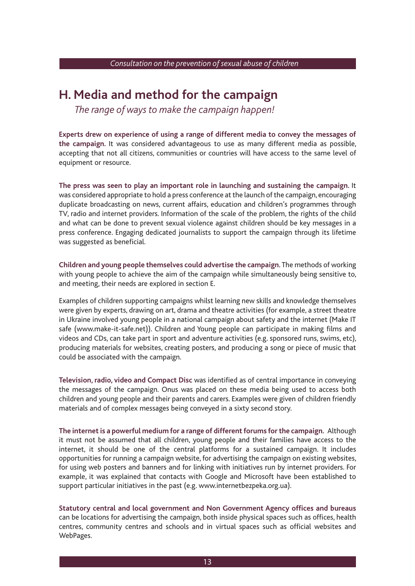### **H. Media and method for the campaign**

*The range of ways to make the campaign happen!*

**Experts drew on experience of using a range of different media to convey the messages of the campaign.** It was considered advantageous to use as many different media as possible, accepting that not all citizens, communities or countries will have access to the same level of equipment or resource.

**The press was seen to play an important role in launching and sustaining the campaign.** It was considered appropriate to hold a press conference at the launch of the campaign, encouraging duplicate broadcasting on news, current affairs, education and children's programmes through TV, radio and internet providers. Information of the scale of the problem, the rights of the child and what can be done to prevent sexual violence against children should be key messages in a press conference. Engaging dedicated journalists to support the campaign through its lifetime was suggested as beneficial.

**Children and young people themselves could advertise the campaign.** The methods of working with young people to achieve the aim of the campaign while simultaneously being sensitive to, and meeting, their needs are explored in section E.

 Examples of children supporting campaigns whilst learning new skills and knowledge themselves were given by experts, drawing on art, drama and theatre activities (for example, a street theatre in Ukraine involved young people in a national campaign about safety and the internet (Make IT safe (www.make-it-safe.net)). Children and Young people can participate in making films and videos and CDs, can take part in sport and adventure activities (e.g. sponsored runs, swims, etc), producing materials for websites, creating posters, and producing a song or piece of music that could be associated with the campaign.

**Television, radio, video and Compact Disc** was identified as of central importance in conveying the messages of the campaign. Onus was placed on these media being used to access both children and young people and their parents and carers. Examples were given of children friendly materials and of complex messages being conveyed in a sixty second story.

**The internet is a powerful medium for a range of different forums for the campaign.** Although it must not be assumed that all children, young people and their families have access to the internet, it should be one of the central platforms for a sustained campaign. It includes opportunities for running a campaign website, for advertising the campaign on existing websites, for using web posters and banners and for linking with initiatives run by internet providers. For example, it was explained that contacts with Google and Microsoft have been established to support particular initiatives in the past (e.g. www.internetbezpeka.org.ua).

**Statutory central and local government and Non Government Agency offices and bureaus**  can be locations for advertising the campaign, both inside physical spaces such as offices, health centres, community centres and schools and in virtual spaces such as official websites and WebPages.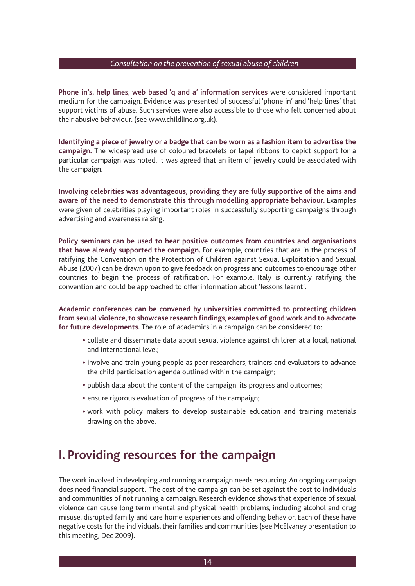**Phone in's, help lines, web based 'q and a' information services** were considered important medium for the campaign. Evidence was presented of successful 'phone in' and 'help lines' that support victims of abuse. Such services were also accessible to those who felt concerned about their abusive behaviour. (see www.childline.org.uk).

**Identifying a piece of jewelry or a badge that can be worn as a fashion item to advertise the campaign.** The widespread use of coloured bracelets or lapel ribbons to depict support for a particular campaign was noted. It was agreed that an item of jewelry could be associated with the campaign.

**Involving celebrities was advantageous, providing they are fully supportive of the aims and aware of the need to demonstrate this through modelling appropriate behaviour.** Examples were given of celebrities playing important roles in successfully supporting campaigns through advertising and awareness raising.

**Policy seminars can be used to hear positive outcomes from countries and organisations that have already supported the campaign.** For example, countries that are in the process of ratifying the Convention on the Protection of Children against Sexual Exploitation and Sexual Abuse (2007) can be drawn upon to give feedback on progress and outcomes to encourage other countries to begin the process of ratification. For example, Italy is currently ratifying the convention and could be approached to offer information about 'lessons learnt'.

**Academic conferences can be convened by universities committed to protecting children from sexual violence, to showcase research findings, examples of good work and to advocate for future developments.** The role of academics in a campaign can be considered to:

- collate and disseminate data about sexual violence against children at a local, national and international level;
- involve and train young people as peer researchers, trainers and evaluators to advance the child participation agenda outlined within the campaign;
- publish data about the content of the campaign, its progress and outcomes;
- ensure rigorous evaluation of progress of the campaign;
- work with policy makers to develop sustainable education and training materials drawing on the above.

### **I. Providing resources for the campaign**

 The work involved in developing and running a campaign needs resourcing. An ongoing campaign does need financial support. The cost of the campaign can be set against the cost to individuals and communities of not running a campaign. Research evidence shows that experience of sexual violence can cause long term mental and physical health problems, including alcohol and drug misuse, disrupted family and care home experiences and offending behavior. Each of these have negative costs for the individuals, their families and communities (see McElvaney presentation to this meeting, Dec 2009).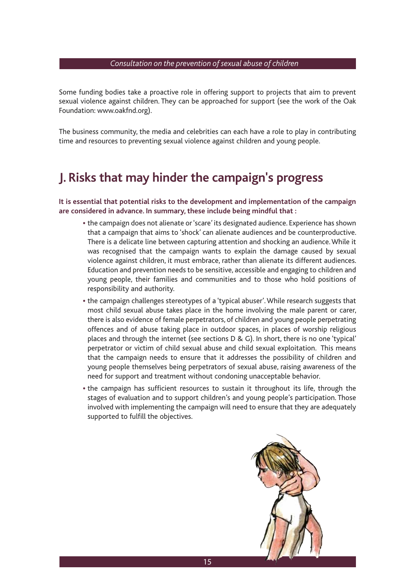Some funding bodies take a proactive role in offering support to projects that aim to prevent sexual violence against children. They can be approached for support (see the work of the Oak Foundation: www.oakfnd.org).

 The business community, the media and celebrities can each have a role to play in contributing time and resources to preventing sexual violence against children and young people.

### **J. Risks that may hinder the campaign's progress**

 **It is essential that potential risks to the development and implementation of the campaign are considered in advance. In summary, these include being mindful that :** 

- the campaign does not alienate or 'scare' its designated audience. Experience has shown that a campaign that aims to 'shock' can alienate audiences and be counterproductive. There is a delicate line between capturing attention and shocking an audience. While it was recognised that the campaign wants to explain the damage caused by sexual violence against children, it must embrace, rather than alienate its different audiences. Education and prevention needs to be sensitive, accessible and engaging to children and young people, their families and communities and to those who hold positions of responsibility and authority.
- the campaign challenges stereotypes of a 'typical abuser'. While research suggests that most child sexual abuse takes place in the home involving the male parent or carer, there is also evidence of female perpetrators, of children and young people perpetrating offences and of abuse taking place in outdoor spaces, in places of worship religious places and through the internet (see sections D & G). In short, there is no one 'typical' perpetrator or victim of child sexual abuse and child sexual exploitation. This means that the campaign needs to ensure that it addresses the possibility of children and young people themselves being perpetrators of sexual abuse, raising awareness of the need for support and treatment without condoning unacceptable behavior.
- the campaign has sufficient resources to sustain it throughout its life, through the stages of evaluation and to support children's and young people's participation. Those involved with implementing the campaign will need to ensure that they are adequately supported to fulfill the objectives.

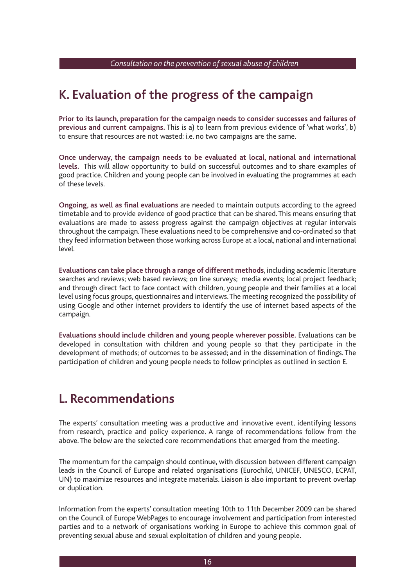### **K. Evaluation of the progress of the campaign**

**Prior to its launch, preparation for the campaign needs to consider successes and failures of previous and current campaigns.** This is a) to learn from previous evidence of 'what works', b) to ensure that resources are not wasted: i.e. no two campaigns are the same.

 **Once underway, the campaign needs to be evaluated at local, national and international levels.** This will allow opportunity to build on successful outcomes and to share examples of good practice. Children and young people can be involved in evaluating the programmes at each of these levels.

**Ongoing, as well as final evaluations** are needed to maintain outputs according to the agreed timetable and to provide evidence of good practice that can be shared. This means ensuring that evaluations are made to assess progress against the campaign objectives at regular intervals throughout the campaign. These evaluations need to be comprehensive and co-ordinated so that they feed information between those working across Europe at a local, national and international level.

 **Evaluations can take place through a range of different methods**, including academic literature searches and reviews; web based reviews; on line surveys; media events; local project feedback; and through direct fact to face contact with children, young people and their families at a local level using focus groups, questionnaires and interviews. The meeting recognized the possibility of using Google and other internet providers to identify the use of internet based aspects of the campaign.

 **Evaluations should include children and young people wherever possible.** Evaluations can be developed in consultation with children and young people so that they participate in the development of methods; of outcomes to be assessed; and in the dissemination of findings. The participation of children and young people needs to follow principles as outlined in section E.

### **L. Recommendations**

The experts' consultation meeting was a productive and innovative event, identifying lessons from research, practice and policy experience. A range of recommendations follow from the above. The below are the selected core recommendations that emerged from the meeting.

 The momentum for the campaign should continue, with discussion between different campaign leads in the Council of Europe and related organisations (Eurochild, UNICEF, UNESCO, ECPAT, UN) to maximize resources and integrate materials. Liaison is also important to prevent overlap or duplication.

 Information from the experts' consultation meeting 10th to 11th December 2009 can be shared on the Council of Europe WebPages to encourage involvement and participation from interested parties and to a network of organisations working in Europe to achieve this common goal of preventing sexual abuse and sexual exploitation of children and young people.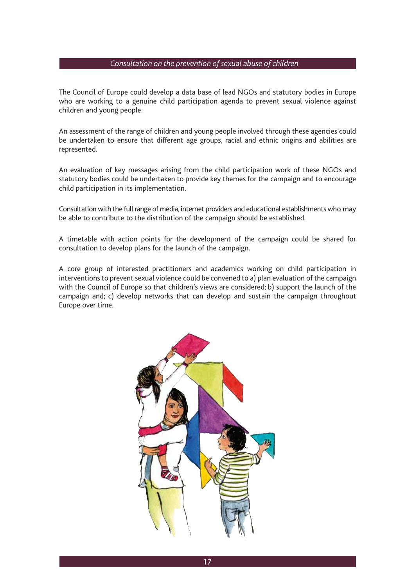The Council of Europe could develop a data base of lead NGOs and statutory bodies in Europe who are working to a genuine child participation agenda to prevent sexual violence against children and young people.

An assessment of the range of children and young people involved through these agencies could be undertaken to ensure that different age groups, racial and ethnic origins and abilities are represented.

 An evaluation of key messages arising from the child participation work of these NGOs and statutory bodies could be undertaken to provide key themes for the campaign and to encourage child participation in its implementation.

 Consultation with the full range of media, internet providers and educational establishments who may be able to contribute to the distribution of the campaign should be established.

 A timetable with action points for the development of the campaign could be shared for consultation to develop plans for the launch of the campaign.

 A core group of interested practitioners and academics working on child participation in interventions to prevent sexual violence could be convened to a) plan evaluation of the campaign with the Council of Europe so that children's views are considered; b) support the launch of the campaign and; c) develop networks that can develop and sustain the campaign throughout Europe over time.